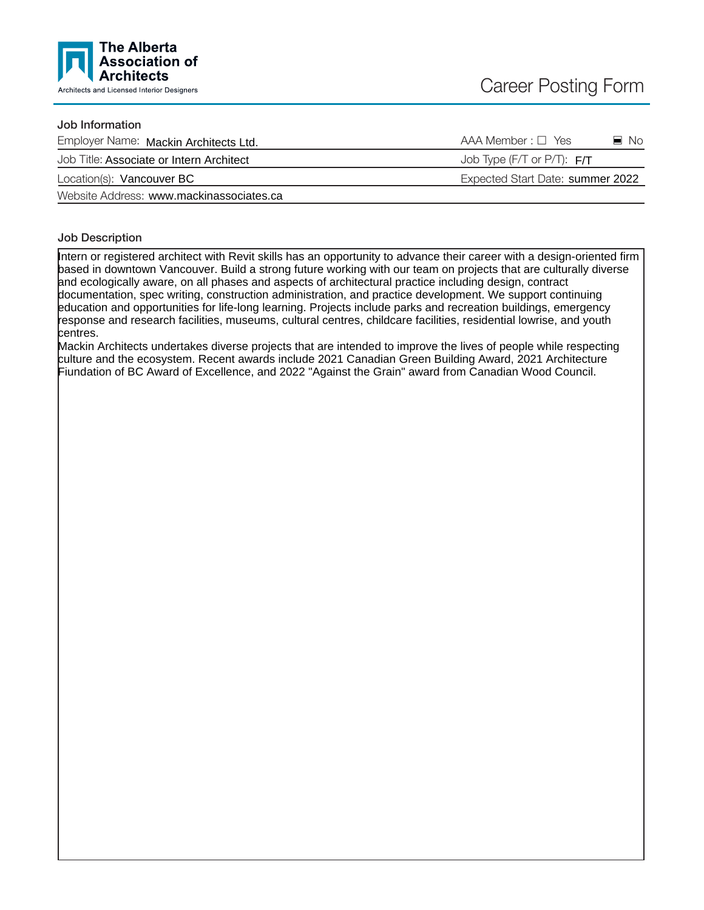

## Job Information

| Employer Name: Mackin Architects Ltd.    | $AAA$ Member : $\Box$ Yes<br>$\blacksquare$ No |
|------------------------------------------|------------------------------------------------|
| Job Title: Associate or Intern Architect | Job Type (F/T or P/T): $F/T$                   |
| Location(s): Vancouver BC                | Expected Start Date: summer 2022               |
| Website Address: www.mackinassociates.ca |                                                |

## Job Description

Intern or registered architect with Revit skills has an opportunity to advance their career with a design-oriented firm based in downtown Vancouver. Build a strong future working with our team on projects that are culturally diverse and ecologically aware, on all phases and aspects of architectural practice including design, contract documentation, spec writing, construction administration, and practice development. We support continuing education and opportunities for life-long learning. Projects include parks and recreation buildings, emergency response and research facilities, museums, cultural centres, childcare facilities, residential lowrise, and youth centres.

Mackin Architects undertakes diverse projects that are intended to improve the lives of people while respecting culture and the ecosystem. Recent awards include 2021 Canadian Green Building Award, 2021 Architecture Fiundation of BC Award of Excellence, and 2022 "Against the Grain" award from Canadian Wood Council.